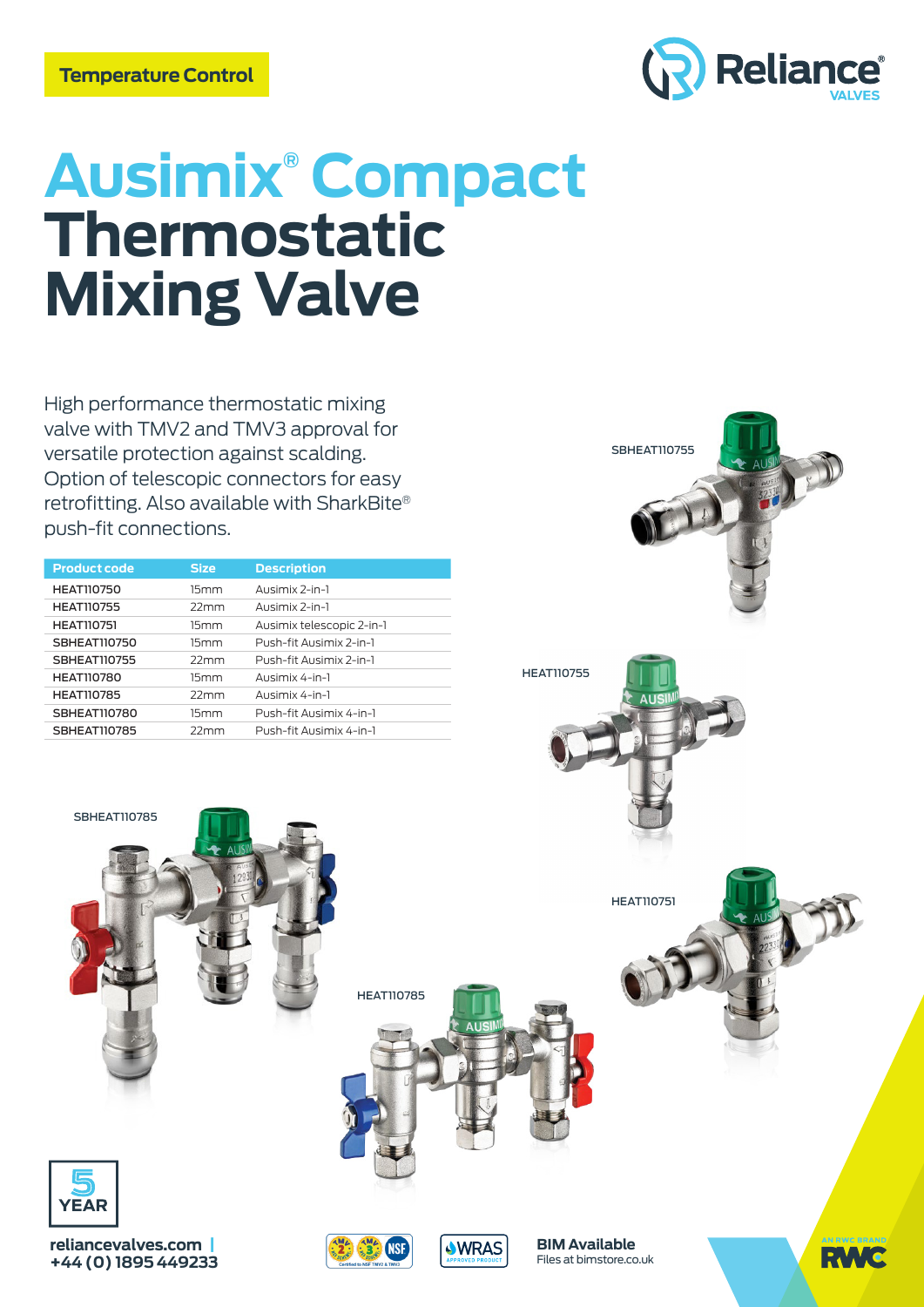

# **Ausimix® Compact Thermostatic Mixing Valve**

High performance thermostatic mixing valve with TMV2 and TMV3 approval for versatile protection against scalding. Option of telescopic connectors for easy retrofitting. Also available with SharkBite® push-fit connections.

| <b>Product code</b> | <b>Size</b> | <b>Description</b>        |
|---------------------|-------------|---------------------------|
| <b>HEAT110750</b>   | 15mm        | Ausimix 2-in-1            |
| <b>HEAT110755</b>   | 22mm        | Ausimix 2-in-1            |
| <b>HEAT110751</b>   | 15mm        | Ausimix telescopic 2-in-1 |
| <b>SBHEAT110750</b> | 15mm        | Push-fit Ausimix 2-in-1   |
| <b>SBHEAT110755</b> | 22mm        | Push-fit Ausimix 2-in-1   |
| <b>HEAT110780</b>   | 15mm        | Ausimix 4-in-1            |
| <b>HEAT110785</b>   | 22mm        | Ausimix 4-in-1            |
| <b>SBHEAT110780</b> | 15mm        | Push-fit Ausimix 4-in-1   |
| <b>SBHEAT110785</b> | 22mm        | Push-fit Ausimix 4-in-1   |





YEAR

SBHEAT110785



HEAT110785



Files at bimstore.co.uk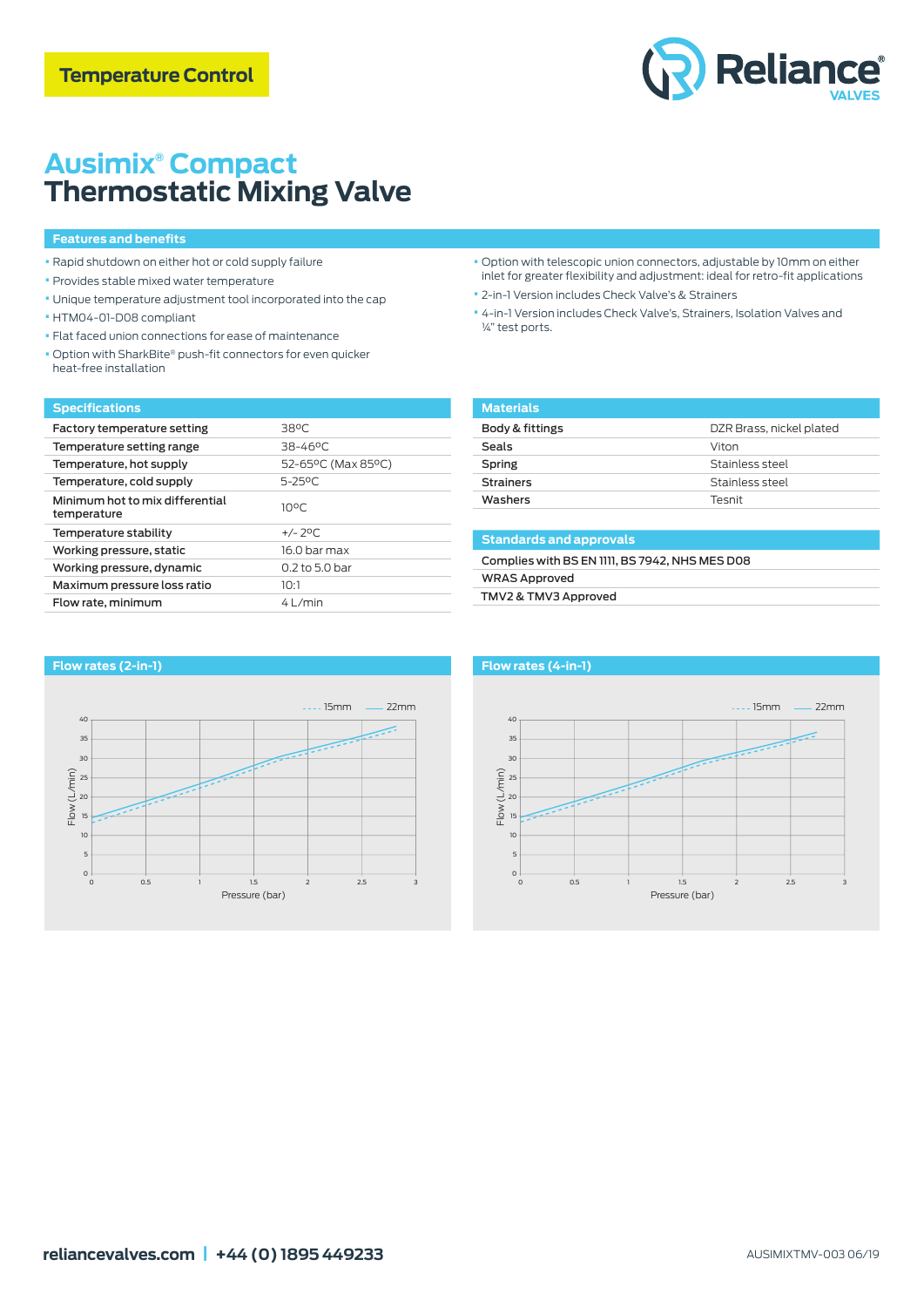

# **Ausimix® Compact Thermostatic Mixing Valve**

#### **Features and benefits**

- Rapid shutdown on either hot or cold supply failure
- Provides stable mixed water temperature
- Unique temperature adjustment tool incorporated into the cap
- HTM04-01-D08 compliant
- Flat faced union connections for ease of maintenance
- Option with SharkBite® push-fit connectors for even quicker heat-free installation

#### **Specifications**

| Factory temperature setting                    | 38°C               |
|------------------------------------------------|--------------------|
| Temperature setting range                      | 38-46°C            |
| Temperature, hot supply                        | 52-65°C (Max 85°C) |
| Temperature, cold supply                       | 5-25°C             |
| Minimum hot to mix differential<br>temperature | $10^{\circ}$ C     |
| Temperature stability                          | $+/- 70C$          |
| Working pressure, static                       | 16.0 har max       |
| Working pressure, dynamic                      | $0.2$ to 5.0 bar   |
| Maximum pressure loss ratio                    | ומו                |
| Flow rate, minimum                             | 41/min             |

- Option with telescopic union connectors, adjustable by 10mm on either inlet for greater flexibility and adjustment: ideal for retro-fit applications
- 2-in-1 Version includes Check Valve's & Strainers
- 4-in-1 Version includes Check Valve's, Strainers, Isolation Valves and ¼" test ports.

| <b>Materials</b> |                          |
|------------------|--------------------------|
| Body & fittings  | DZR Brass, nickel plated |
| Seals            | Viton                    |
| Spring           | Stainless steel          |
| <b>Strainers</b> | Stainless steel          |
| Washers          | Tesnit                   |
|                  |                          |

## **Standards and approvals** Complies with BS EN 1111, BS 7942, NHS MES D08 WRAS Approved TMV2 & TMV3 Approved



### **Flow rates (2-in-1)**



 $15mm$   $-22mm$